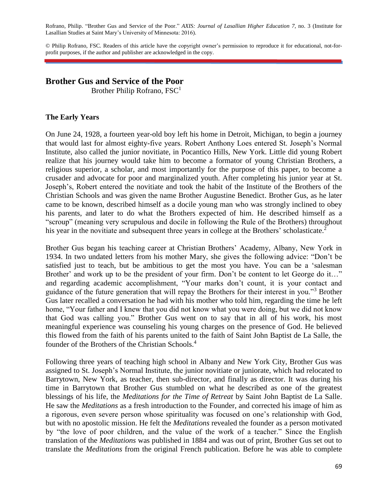Rofrano, Philip. "Brother Gus and Service of the Poor." *AXIS: Journal of Lasallian Higher Education 7*, no. 3 (Institute for Lasallian Studies at Saint Mary's University of Minnesota: 2016).

© Philip Rofrano, FSC. Readers of this article have the copyright owner's permission to reproduce it for educational, not-forprofit purposes, if the author and publisher are acknowledged in the copy.

# **Brother Gus and Service of the Poor**

Brother Philip Rofrano, FSC<sup>1</sup>

## **The Early Years**

On June 24, 1928, a fourteen year-old boy left his home in Detroit, Michigan, to begin a journey that would last for almost eighty-five years. Robert Anthony Loes entered St. Joseph's Normal Institute, also called the junior novitiate, in Pocantico Hills, New York. Little did young Robert realize that his journey would take him to become a formator of young Christian Brothers, a religious superior, a scholar, and most importantly for the purpose of this paper, to become a crusader and advocate for poor and marginalized youth. After completing his junior year at St. Joseph's, Robert entered the novitiate and took the habit of the Institute of the Brothers of the Christian Schools and was given the name Brother Augustine Benedict. Brother Gus, as he later came to be known, described himself as a docile young man who was strongly inclined to obey his parents, and later to do what the Brothers expected of him. He described himself as a "scroup" (meaning very scrupulous and docile in following the Rule of the Brothers) throughout his year in the novitiate and subsequent three years in college at the Brothers' scholasticate.<sup>2</sup>

Brother Gus began his teaching career at Christian Brothers' Academy, Albany, New York in 1934. In two undated letters from his mother Mary, she gives the following advice: "Don't be satisfied just to teach, but be ambitious to get the most you have. You can be a 'salesman Brother' and work up to be the president of your firm. Don't be content to let George do it..." and regarding academic accomplishment, "Your marks don't count, it is your contact and guidance of the future generation that will repay the Brothers for their interest in you."<sup>3</sup> Brother Gus later recalled a conversation he had with his mother who told him, regarding the time he left home, "Your father and I knew that you did not know what you were doing, but we did not know that God was calling you." Brother Gus went on to say that in all of his work, his most meaningful experience was counseling his young charges on the presence of God. He believed this flowed from the faith of his parents united to the faith of Saint John Baptist de La Salle, the founder of the Brothers of the Christian Schools.<sup>4</sup>

Following three years of teaching high school in Albany and New York City, Brother Gus was assigned to St. Joseph's Normal Institute, the junior novitiate or juniorate, which had relocated to Barrytown, New York, as teacher, then sub-director, and finally as director. It was during his time in Barrytown that Brother Gus stumbled on what he described as one of the greatest blessings of his life, the *Meditations for the Time of Retreat* by Saint John Baptist de La Salle. He saw the *Meditations* as a fresh introduction to the Founder, and corrected his image of him as a rigorous, even severe person whose spirituality was focused on one's relationship with God, but with no apostolic mission. He felt the *Meditations* revealed the founder as a person motivated by "the love of poor children, and the value of the work of a teacher." Since the English translation of the *Meditations* was published in 1884 and was out of print, Brother Gus set out to translate the *Meditations* from the original French publication. Before he was able to complete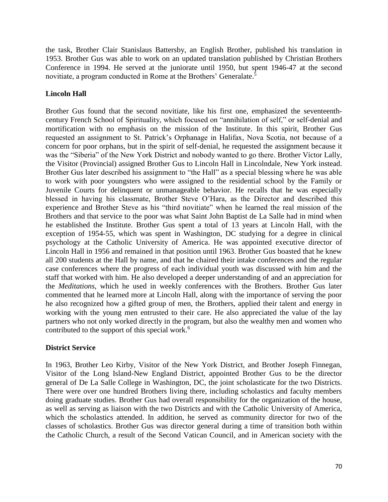the task, Brother Clair Stanislaus Battersby, an English Brother, published his translation in 1953. Brother Gus was able to work on an updated translation published by Christian Brothers Conference in 1994. He served at the juniorate until 1950, but spent 1946-47 at the second novitiate, a program conducted in Rome at the Brothers' Generalate.<sup>5</sup>

## **Lincoln Hall**

Brother Gus found that the second novitiate, like his first one, emphasized the seventeenthcentury French School of Spirituality, which focused on "annihilation of self," or self-denial and mortification with no emphasis on the mission of the Institute. In this spirit, Brother Gus requested an assignment to St. Patrick's Orphanage in Halifax, Nova Scotia, not because of a concern for poor orphans, but in the spirit of self-denial, he requested the assignment because it was the "Siberia" of the New York District and nobody wanted to go there. Brother Victor Lally, the Visitor (Provincial) assigned Brother Gus to Lincoln Hall in Lincolndale, New York instead. Brother Gus later described his assignment to "the Hall" as a special blessing where he was able to work with poor youngsters who were assigned to the residential school by the Family or Juvenile Courts for delinquent or unmanageable behavior. He recalls that he was especially blessed in having his classmate, Brother Steve O'Hara, as the Director and described this experience and Brother Steve as his "third novitiate" when he learned the real mission of the Brothers and that service to the poor was what Saint John Baptist de La Salle had in mind when he established the Institute. Brother Gus spent a total of 13 years at Lincoln Hall, with the exception of 1954-55, which was spent in Washington, DC studying for a degree in clinical psychology at the Catholic University of America. He was appointed executive director of Lincoln Hall in 1956 and remained in that position until 1963. Brother Gus boasted that he knew all 200 students at the Hall by name, and that he chaired their intake conferences and the regular case conferences where the progress of each individual youth was discussed with him and the staff that worked with him. He also developed a deeper understanding of and an appreciation for the *Meditations*, which he used in weekly conferences with the Brothers. Brother Gus later commented that he learned more at Lincoln Hall, along with the importance of serving the poor he also recognized how a gifted group of men, the Brothers, applied their talent and energy in working with the young men entrusted to their care. He also appreciated the value of the lay partners who not only worked directly in the program, but also the wealthy men and women who contributed to the support of this special work.<sup>6</sup>

## **District Service**

In 1963, Brother Leo Kirby, Visitor of the New York District, and Brother Joseph Finnegan, Visitor of the Long Island-New England District, appointed Brother Gus to be the director general of De La Salle College in Washington, DC, the joint scholasticate for the two Districts. There were over one hundred Brothers living there, including scholastics and faculty members doing graduate studies. Brother Gus had overall responsibility for the organization of the house, as well as serving as liaison with the two Districts and with the Catholic University of America, which the scholastics attended. In addition, he served as community director for two of the classes of scholastics. Brother Gus was director general during a time of transition both within the Catholic Church, a result of the Second Vatican Council, and in American society with the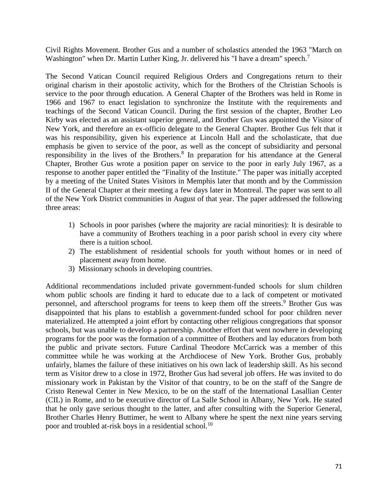Civil Rights Movement. Brother Gus and a number of scholastics attended the 1963 "March on Washington" when Dr. Martin Luther King, Jr. delivered his "I have a dream" speech.<sup>7</sup>

The Second Vatican Council required Religious Orders and Congregations return to their original charism in their apostolic activity, which for the Brothers of the Christian Schools is service to the poor through education. A General Chapter of the Brothers was held in Rome in 1966 and 1967 to enact legislation to synchronize the Institute with the requirements and teachings of the Second Vatican Council. During the first session of the chapter, Brother Leo Kirby was elected as an assistant superior general, and Brother Gus was appointed the Visitor of New York, and therefore an ex-officio delegate to the General Chapter. Brother Gus felt that it was his responsibility, given his experience at Lincoln Hall and the scholasticate, that due emphasis be given to service of the poor, as well as the concept of subsidiarity and personal responsibility in the lives of the Brothers.<sup>8</sup> In preparation for his attendance at the General Chapter, Brother Gus wrote a position paper on service to the poor in early July 1967, as a response to another paper entitled the "Finality of the Institute." The paper was initially accepted by a meeting of the United States Visitors in Memphis later that month and by the Commission II of the General Chapter at their meeting a few days later in Montreal. The paper was sent to all of the New York District communities in August of that year. The paper addressed the following three areas:

- 1) Schools in poor parishes (where the majority are racial minorities): It is desirable to have a community of Brothers teaching in a poor parish school in every city where there is a tuition school.
- 2) The establishment of residential schools for youth without homes or in need of placement away from home.
- 3) Missionary schools in developing countries.

Additional recommendations included private government-funded schools for slum children whom public schools are finding it hard to educate due to a lack of competent or motivated personnel, and afterschool programs for teens to keep them off the streets.<sup>9</sup> Brother Gus was disappointed that his plans to establish a government-funded school for poor children never materialized. He attempted a joint effort by contacting other religious congregations that sponsor schools, but was unable to develop a partnership. Another effort that went nowhere in developing programs for the poor was the formation of a committee of Brothers and lay educators from both the public and private sectors. Future Cardinal Theodore McCarrick was a member of this committee while he was working at the Archdiocese of New York. Brother Gus, probably unfairly, blames the failure of these initiatives on his own lack of leadership skill. As his second term as Visitor drew to a close in 1972, Brother Gus had several job offers. He was invited to do missionary work in Pakistan by the Visitor of that country, to be on the staff of the Sangre de Cristo Renewal Center in New Mexico, to be on the staff of the International Lasallian Center (CIL) in Rome, and to be executive director of La Salle School in Albany, New York. He stated that he only gave serious thought to the latter, and after consulting with the Superior General, Brother Charles Henry Buttimer, he went to Albany where he spent the next nine years serving poor and troubled at-risk boys in a residential school.<sup>10</sup>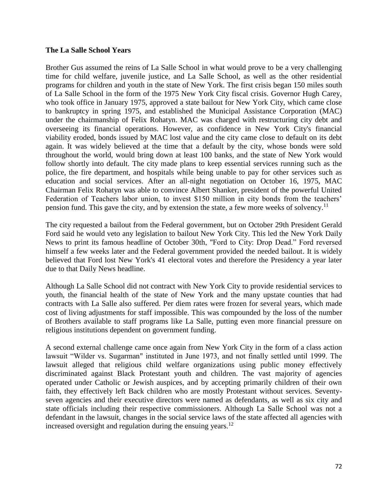### **The La Salle School Years**

Brother Gus assumed the reins of La Salle School in what would prove to be a very challenging time for child welfare, juvenile justice, and La Salle School, as well as the other residential programs for children and youth in the state of New York. The first crisis began 150 miles south of La Salle School in the form of the 1975 New York City fiscal crisis. Governor Hugh Carey, who took office in January 1975, approved a state bailout for New York City, which came close to bankruptcy in spring 1975, and established the Municipal Assistance Corporation (MAC) under the chairmanship of Felix Rohatyn. MAC was charged with restructuring city debt and overseeing its financial operations. However, as confidence in New York City's financial viability eroded, bonds issued by MAC lost value and the city came close to default on its debt again. It was widely believed at the time that a default by the city, whose bonds were sold throughout the world, would bring down at least 100 banks, and the state of New York would follow shortly into default. The city made plans to keep essential services running such as the police, the fire department, and hospitals while being unable to pay for other services such as education and social services. After an all-night negotiation on October 16, 1975, MAC Chairman Felix Rohatyn was able to convince Albert Shanker, president of the powerful United Federation of Teachers labor union, to invest \$150 million in city bonds from the teachers' pension fund. This gave the city, and by extension the state, a few more weeks of solvency.<sup>11</sup>

The city requested a bailout from the Federal government, but on October 29th President Gerald Ford said he would veto any legislation to bailout New York City. This led the New York Daily News to print its famous headline of October 30th, "Ford to City: Drop Dead." Ford reversed himself a few weeks later and the Federal government provided the needed bailout. It is widely believed that Ford lost New York's 41 electoral votes and therefore the Presidency a year later due to that Daily News headline.

Although La Salle School did not contract with New York City to provide residential services to youth, the financial health of the state of New York and the many upstate counties that had contracts with La Salle also suffered. Per diem rates were frozen for several years, which made cost of living adjustments for staff impossible. This was compounded by the loss of the number of Brothers available to staff programs like La Salle, putting even more financial pressure on religious institutions dependent on government funding.

A second external challenge came once again from New York City in the form of a class action lawsuit "Wilder vs. Sugarman" instituted in June 1973, and not finally settled until 1999. The lawsuit alleged that religious child welfare organizations using public money effectively discriminated against Black Protestant youth and children. The vast majority of agencies operated under Catholic or Jewish auspices, and by accepting primarily children of their own faith, they effectively left Back children who are mostly Protestant without services. Seventyseven agencies and their executive directors were named as defendants, as well as six city and state officials including their respective commissioners. Although La Salle School was not a defendant in the lawsuit, changes in the social service laws of the state affected all agencies with increased oversight and regulation during the ensuing years.<sup>12</sup>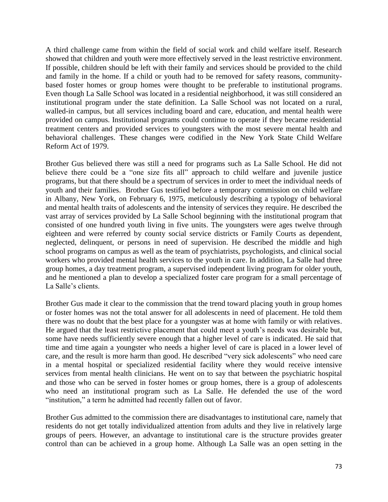A third challenge came from within the field of social work and child welfare itself. Research showed that children and youth were more effectively served in the least restrictive environment. If possible, children should be left with their family and services should be provided to the child and family in the home. If a child or youth had to be removed for safety reasons, communitybased foster homes or group homes were thought to be preferable to institutional programs. Even though La Salle School was located in a residential neighborhood, it was still considered an institutional program under the state definition. La Salle School was not located on a rural, walled-in campus, but all services including board and care, education, and mental health were provided on campus. Institutional programs could continue to operate if they became residential treatment centers and provided services to youngsters with the most severe mental health and behavioral challenges. These changes were codified in the New York State Child Welfare Reform Act of 1979.

Brother Gus believed there was still a need for programs such as La Salle School. He did not believe there could be a "one size fits all" approach to child welfare and juvenile justice programs, but that there should be a spectrum of services in order to meet the individual needs of youth and their families. Brother Gus testified before a temporary commission on child welfare in Albany, New York, on February 6, 1975, meticulously describing a typology of behavioral and mental health traits of adolescents and the intensity of services they require. He described the vast array of services provided by La Salle School beginning with the institutional program that consisted of one hundred youth living in five units. The youngsters were ages twelve through eighteen and were referred by county social service districts or Family Courts as dependent, neglected, delinquent, or persons in need of supervision. He described the middle and high school programs on campus as well as the team of psychiatrists, psychologists, and clinical social workers who provided mental health services to the youth in care. In addition, La Salle had three group homes, a day treatment program, a supervised independent living program for older youth, and he mentioned a plan to develop a specialized foster care program for a small percentage of La Salle's clients.

Brother Gus made it clear to the commission that the trend toward placing youth in group homes or foster homes was not the total answer for all adolescents in need of placement. He told them there was no doubt that the best place for a youngster was at home with family or with relatives. He argued that the least restrictive placement that could meet a youth's needs was desirable but, some have needs sufficiently severe enough that a higher level of care is indicated. He said that time and time again a youngster who needs a higher level of care is placed in a lower level of care, and the result is more harm than good. He described "very sick adolescents" who need care in a mental hospital or specialized residential facility where they would receive intensive services from mental health clinicians. He went on to say that between the psychiatric hospital and those who can be served in foster homes or group homes, there is a group of adolescents who need an institutional program such as La Salle. He defended the use of the word "institution," a term he admitted had recently fallen out of favor.

Brother Gus admitted to the commission there are disadvantages to institutional care, namely that residents do not get totally individualized attention from adults and they live in relatively large groups of peers. However, an advantage to institutional care is the structure provides greater control than can be achieved in a group home. Although La Salle was an open setting in the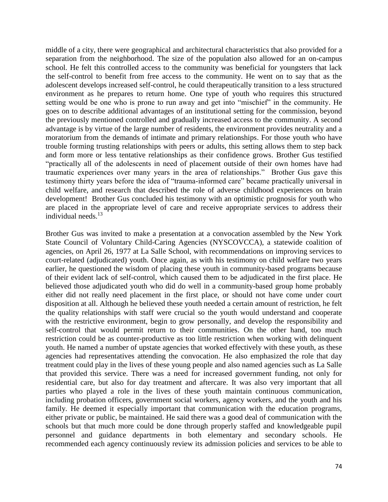middle of a city, there were geographical and architectural characteristics that also provided for a separation from the neighborhood. The size of the population also allowed for an on-campus school. He felt this controlled access to the community was beneficial for youngsters that lack the self-control to benefit from free access to the community. He went on to say that as the adolescent develops increased self-control, he could therapeutically transition to a less structured environment as he prepares to return home. One type of youth who requires this structured setting would be one who is prone to run away and get into "mischief" in the community. He goes on to describe additional advantages of an institutional setting for the commission, beyond the previously mentioned controlled and gradually increased access to the community. A second advantage is by virtue of the large number of residents, the environment provides neutrality and a moratorium from the demands of intimate and primary relationships. For those youth who have trouble forming trusting relationships with peers or adults, this setting allows them to step back and form more or less tentative relationships as their confidence grows. Brother Gus testified "practically all of the adolescents in need of placement outside of their own homes have had traumatic experiences over many years in the area of relationships." Brother Gus gave this testimony thirty years before the idea of "trauma-informed care" became practically universal in child welfare, and research that described the role of adverse childhood experiences on brain development! Brother Gus concluded his testimony with an optimistic prognosis for youth who are placed in the appropriate level of care and receive appropriate services to address their individual needs. $13$ 

Brother Gus was invited to make a presentation at a convocation assembled by the New York State Council of Voluntary Child-Caring Agencies (NYSCOVCCA), a statewide coalition of agencies, on April 26, 1977 at La Salle School, with recommendations on improving services to court-related (adjudicated) youth. Once again, as with his testimony on child welfare two years earlier, he questioned the wisdom of placing these youth in community-based programs because of their evident lack of self-control, which caused them to be adjudicated in the first place. He believed those adjudicated youth who did do well in a community-based group home probably either did not really need placement in the first place, or should not have come under court disposition at all. Although he believed these youth needed a certain amount of restriction, he felt the quality relationships with staff were crucial so the youth would understand and cooperate with the restrictive environment, begin to grow personally, and develop the responsibility and self-control that would permit return to their communities. On the other hand, too much restriction could be as counter-productive as too little restriction when working with delinquent youth. He named a number of upstate agencies that worked effectively with these youth, as these agencies had representatives attending the convocation. He also emphasized the role that day treatment could play in the lives of these young people and also named agencies such as La Salle that provided this service. There was a need for increased government funding, not only for residential care, but also for day treatment and aftercare. It was also very important that all parties who played a role in the lives of these youth maintain continuous communication, including probation officers, government social workers, agency workers, and the youth and his family. He deemed it especially important that communication with the education programs, either private or public, be maintained. He said there was a good deal of communication with the schools but that much more could be done through properly staffed and knowledgeable pupil personnel and guidance departments in both elementary and secondary schools. He recommended each agency continuously review its admission policies and services to be able to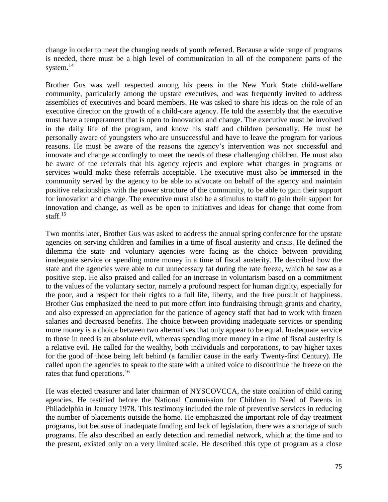change in order to meet the changing needs of youth referred. Because a wide range of programs is needed, there must be a high level of communication in all of the component parts of the system.<sup>14</sup>

Brother Gus was well respected among his peers in the New York State child-welfare community, particularly among the upstate executives, and was frequently invited to address assemblies of executives and board members. He was asked to share his ideas on the role of an executive director on the growth of a child-care agency. He told the assembly that the executive must have a temperament that is open to innovation and change. The executive must be involved in the daily life of the program, and know his staff and children personally. He must be personally aware of youngsters who are unsuccessful and have to leave the program for various reasons. He must be aware of the reasons the agency's intervention was not successful and innovate and change accordingly to meet the needs of these challenging children. He must also be aware of the referrals that his agency rejects and explore what changes in programs or services would make these referrals acceptable. The executive must also be immersed in the community served by the agency to be able to advocate on behalf of the agency and maintain positive relationships with the power structure of the community, to be able to gain their support for innovation and change. The executive must also be a stimulus to staff to gain their support for innovation and change, as well as be open to initiatives and ideas for change that come from staff.<sup>15</sup>

Two months later, Brother Gus was asked to address the annual spring conference for the upstate agencies on serving children and families in a time of fiscal austerity and crisis. He defined the dilemma the state and voluntary agencies were facing as the choice between providing inadequate service or spending more money in a time of fiscal austerity. He described how the state and the agencies were able to cut unnecessary fat during the rate freeze, which he saw as a positive step. He also praised and called for an increase in voluntarism based on a commitment to the values of the voluntary sector, namely a profound respect for human dignity, especially for the poor, and a respect for their rights to a full life, liberty, and the free pursuit of happiness. Brother Gus emphasized the need to put more effort into fundraising through grants and charity, and also expressed an appreciation for the patience of agency staff that had to work with frozen salaries and decreased benefits. The choice between providing inadequate services or spending more money is a choice between two alternatives that only appear to be equal. Inadequate service to those in need is an absolute evil, whereas spending more money in a time of fiscal austerity is a relative evil. He called for the wealthy, both individuals and corporations, to pay higher taxes for the good of those being left behind (a familiar cause in the early Twenty-first Century). He called upon the agencies to speak to the state with a united voice to discontinue the freeze on the rates that fund operations.<sup>16</sup>

He was elected treasurer and later chairman of NYSCOVCCA, the state coalition of child caring agencies. He testified before the National Commission for Children in Need of Parents in Philadelphia in January 1978. This testimony included the role of preventive services in reducing the number of placements outside the home. He emphasized the important role of day treatment programs, but because of inadequate funding and lack of legislation, there was a shortage of such programs. He also described an early detection and remedial network, which at the time and to the present, existed only on a very limited scale. He described this type of program as a close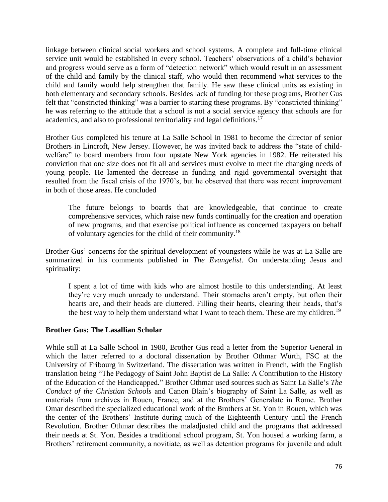linkage between clinical social workers and school systems. A complete and full-time clinical service unit would be established in every school. Teachers' observations of a child's behavior and progress would serve as a form of "detection network" which would result in an assessment of the child and family by the clinical staff, who would then recommend what services to the child and family would help strengthen that family. He saw these clinical units as existing in both elementary and secondary schools. Besides lack of funding for these programs, Brother Gus felt that "constricted thinking" was a barrier to starting these programs. By "constricted thinking" he was referring to the attitude that a school is not a social service agency that schools are for academics, and also to professional territoriality and legal definitions.<sup>17</sup>

Brother Gus completed his tenure at La Salle School in 1981 to become the director of senior Brothers in Lincroft, New Jersey. However, he was invited back to address the "state of childwelfare" to board members from four upstate New York agencies in 1982. He reiterated his conviction that one size does not fit all and services must evolve to meet the changing needs of young people. He lamented the decrease in funding and rigid governmental oversight that resulted from the fiscal crisis of the 1970's, but he observed that there was recent improvement in both of those areas. He concluded

The future belongs to boards that are knowledgeable, that continue to create comprehensive services, which raise new funds continually for the creation and operation of new programs, and that exercise political influence as concerned taxpayers on behalf of voluntary agencies for the child of their community.<sup>18</sup>

Brother Gus' concerns for the spiritual development of youngsters while he was at La Salle are summarized in his comments published in *The Evangelist*. On understanding Jesus and spirituality:

I spent a lot of time with kids who are almost hostile to this understanding. At least they're very much unready to understand. Their stomachs aren't empty, but often their hearts are, and their heads are cluttered. Filling their hearts, clearing their heads, that's the best way to help them understand what I want to teach them. These are my children.<sup>19</sup>

### **Brother Gus: The Lasallian Scholar**

While still at La Salle School in 1980, Brother Gus read a letter from the Superior General in which the latter referred to a doctoral dissertation by Brother Othmar Würth, FSC at the University of Fribourg in Switzerland. The dissertation was written in French, with the English translation being "The Pedagogy of Saint John Baptist de La Salle: A Contribution to the History of the Education of the Handicapped." Brother Othmar used sources such as Saint La Salle's *The Conduct of the Christian Schools* and Canon Blain's biography of Saint La Salle, as well as materials from archives in Rouen, France, and at the Brothers' Generalate in Rome. Brother Omar described the specialized educational work of the Brothers at St. Yon in Rouen, which was the center of the Brothers' Institute during much of the Eighteenth Century until the French Revolution. Brother Othmar describes the maladjusted child and the programs that addressed their needs at St. Yon. Besides a traditional school program, St. Yon housed a working farm, a Brothers' retirement community, a novitiate, as well as detention programs for juvenile and adult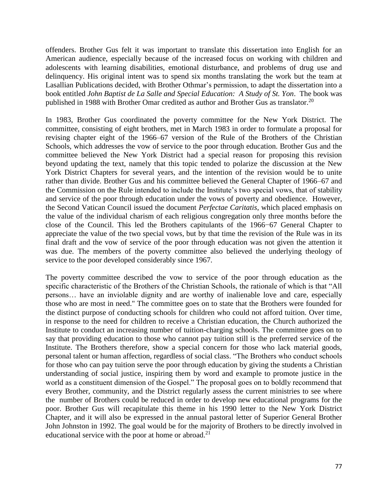offenders. Brother Gus felt it was important to translate this dissertation into English for an American audience, especially because of the increased focus on working with children and adolescents with learning disabilities, emotional disturbance, and problems of drug use and delinquency. His original intent was to spend six months translating the work but the team at Lasallian Publications decided, with Brother Othmar's permission, to adapt the dissertation into a book entitled *John Baptist de La Salle and Special Education: A Study of St. Yon*. The book was published in 1988 with Brother Omar credited as author and Brother Gus as translator.<sup>20</sup>

In 1983, Brother Gus coordinated the poverty committee for the New York District. The committee, consisting of eight brothers, met in March 1983 in order to formulate a proposal for revising chapter eight of the 1966–67 version of the Rule of the Brothers of the Christian Schools, which addresses the vow of service to the poor through education. Brother Gus and the committee believed the New York District had a special reason for proposing this revision beyond updating the text, namely that this topic tended to polarize the discussion at the New York District Chapters for several years, and the intention of the revision would be to unite rather than divide. Brother Gus and his committee believed the General Chapter of 1966–67 and the Commission on the Rule intended to include the Institute's two special vows, that of stability and service of the poor through education under the vows of poverty and obedience. However, the Second Vatican Council issued the document *Perfectae Caritatis*, which placed emphasis on the value of the individual charism of each religious congregation only three months before the close of the Council. This led the Brothers capitulants of the 1966−67 General Chapter to appreciate the value of the two special vows, but by that time the revision of the Rule was in its final draft and the vow of service of the poor through education was not given the attention it was due. The members of the poverty committee also believed the underlying theology of service to the poor developed considerably since 1967.

The poverty committee described the vow to service of the poor through education as the specific characteristic of the Brothers of the Christian Schools, the rationale of which is that "All persons… have an inviolable dignity and are worthy of inalienable love and care, especially those who are most in need." The committee goes on to state that the Brothers were founded for the distinct purpose of conducting schools for children who could not afford tuition. Over time, in response to the need for children to receive a Christian education, the Church authorized the Institute to conduct an increasing number of tuition-charging schools. The committee goes on to say that providing education to those who cannot pay tuition still is the preferred service of the Institute. The Brothers therefore, show a special concern for those who lack material goods, personal talent or human affection, regardless of social class. "The Brothers who conduct schools for those who can pay tuition serve the poor through education by giving the students a Christian understanding of social justice, inspiring them by word and example to promote justice in the world as a constituent dimension of the Gospel." The proposal goes on to boldly recommend that every Brother, community, and the District regularly assess the current ministries to see where the number of Brothers could be reduced in order to develop new educational programs for the poor. Brother Gus will recapitulate this theme in his 1990 letter to the New York District Chapter, and it will also be expressed in the annual pastoral letter of Superior General Brother John Johnston in 1992. The goal would be for the majority of Brothers to be directly involved in educational service with the poor at home or abroad.<sup>21</sup>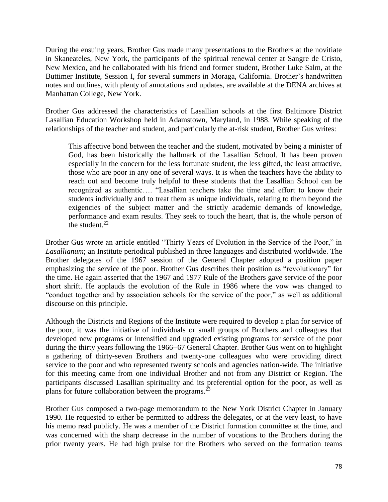During the ensuing years, Brother Gus made many presentations to the Brothers at the novitiate in Skaneateles, New York, the participants of the spiritual renewal center at Sangre de Cristo, New Mexico, and he collaborated with his friend and former student, Brother Luke Salm, at the Buttimer Institute, Session I, for several summers in Moraga, California. Brother's handwritten notes and outlines, with plenty of annotations and updates, are available at the DENA archives at Manhattan College, New York.

Brother Gus addressed the characteristics of Lasallian schools at the first Baltimore District Lasallian Education Workshop held in Adamstown, Maryland, in 1988. While speaking of the relationships of the teacher and student, and particularly the at-risk student, Brother Gus writes:

This affective bond between the teacher and the student, motivated by being a minister of God, has been historically the hallmark of the Lasallian School. It has been proven especially in the concern for the less fortunate student, the less gifted, the least attractive, those who are poor in any one of several ways. It is when the teachers have the ability to reach out and become truly helpful to these students that the Lasallian School can be recognized as authentic…. "Lasallian teachers take the time and effort to know their students individually and to treat them as unique individuals, relating to them beyond the exigencies of the subject matter and the strictly academic demands of knowledge, performance and exam results. They seek to touch the heart, that is, the whole person of the student. $22$ 

Brother Gus wrote an article entitled "Thirty Years of Evolution in the Service of the Poor," in *Lasallianum*; an Institute periodical published in three languages and distributed worldwide. The Brother delegates of the 1967 session of the General Chapter adopted a position paper emphasizing the service of the poor. Brother Gus describes their position as "revolutionary" for the time. He again asserted that the 1967 and 1977 Rule of the Brothers gave service of the poor short shrift. He applauds the evolution of the Rule in 1986 where the vow was changed to "conduct together and by association schools for the service of the poor," as well as additional discourse on this principle.

Although the Districts and Regions of the Institute were required to develop a plan for service of the poor, it was the initiative of individuals or small groups of Brothers and colleagues that developed new programs or intensified and upgraded existing programs for service of the poor during the thirty years following the 1966−67 General Chapter. Brother Gus went on to highlight a gathering of thirty-seven Brothers and twenty-one colleagues who were providing direct service to the poor and who represented twenty schools and agencies nation-wide. The initiative for this meeting came from one individual Brother and not from any District or Region. The participants discussed Lasallian spirituality and its preferential option for the poor, as well as plans for future collaboration between the programs.<sup>23</sup>

Brother Gus composed a two-page memorandum to the New York District Chapter in January 1990. He requested to either be permitted to address the delegates, or at the very least, to have his memo read publicly. He was a member of the District formation committee at the time, and was concerned with the sharp decrease in the number of vocations to the Brothers during the prior twenty years. He had high praise for the Brothers who served on the formation teams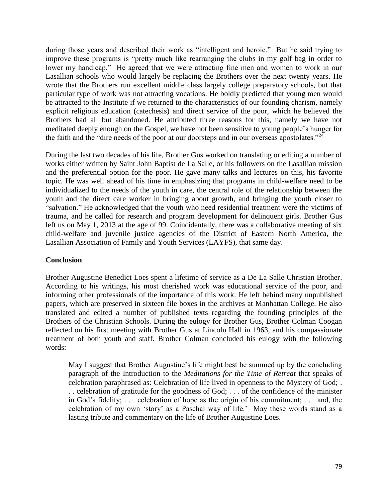during those years and described their work as "intelligent and heroic." But he said trying to improve these programs is "pretty much like rearranging the clubs in my golf bag in order to lower my handicap." He agreed that we were attracting fine men and women to work in our Lasallian schools who would largely be replacing the Brothers over the next twenty years. He wrote that the Brothers run excellent middle class largely college preparatory schools, but that particular type of work was not attracting vocations. He boldly predicted that young men would be attracted to the Institute if we returned to the characteristics of our founding charism, namely explicit religious education (catechesis) and direct service of the poor, which he believed the Brothers had all but abandoned. He attributed three reasons for this, namely we have not meditated deeply enough on the Gospel, we have not been sensitive to young people's hunger for the faith and the "dire needs of the poor at our doorsteps and in our overseas apostolates."<sup>24</sup>

During the last two decades of his life, Brother Gus worked on translating or editing a number of works either written by Saint John Baptist de La Salle, or his followers on the Lasallian mission and the preferential option for the poor. He gave many talks and lectures on this, his favorite topic. He was well ahead of his time in emphasizing that programs in child-welfare need to be individualized to the needs of the youth in care, the central role of the relationship between the youth and the direct care worker in bringing about growth, and bringing the youth closer to "salvation." He acknowledged that the youth who need residential treatment were the victims of trauma, and he called for research and program development for delinquent girls. Brother Gus left us on May 1, 2013 at the age of 99. Coincidentally, there was a collaborative meeting of six child-welfare and juvenile justice agencies of the District of Eastern North America, the Lasallian Association of Family and Youth Services (LAYFS), that same day.

### **Conclusion**

Brother Augustine Benedict Loes spent a lifetime of service as a De La Salle Christian Brother. According to his writings, his most cherished work was educational service of the poor, and informing other professionals of the importance of this work. He left behind many unpublished papers, which are preserved in sixteen file boxes in the archives at Manhattan College. He also translated and edited a number of published texts regarding the founding principles of the Brothers of the Christian Schools. During the eulogy for Brother Gus, Brother Colman Coogan reflected on his first meeting with Brother Gus at Lincoln Hall in 1963, and his compassionate treatment of both youth and staff. Brother Colman concluded his eulogy with the following words:

May I suggest that Brother Augustine's life might best be summed up by the concluding paragraph of the Introduction to the *Meditations for the Time of Retreat* that speaks of celebration paraphrased as: Celebration of life lived in openness to the Mystery of God; . . . celebration of gratitude for the goodness of God; . . . of the confidence of the minister in God's fidelity; . . . celebration of hope as the origin of his commitment; . . . and, the celebration of my own 'story' as a Paschal way of life.' May these words stand as a lasting tribute and commentary on the life of Brother Augustine Loes.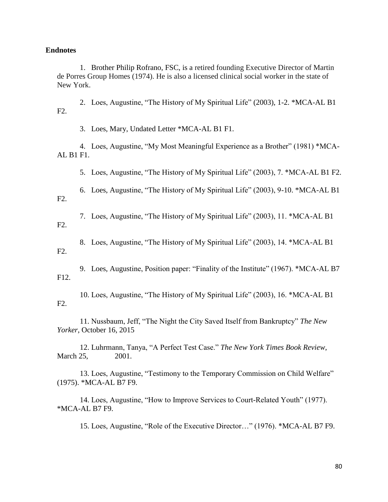#### **Endnotes**

1. Brother Philip Rofrano, FSC, is a retired founding Executive Director of Martin de Porres Group Homes (1974). He is also a licensed clinical social worker in the state of New York.

2. Loes, Augustine, "The History of My Spiritual Life" (2003), 1-2. \*MCA-AL B1 F2.

3. Loes, Mary, Undated Letter \*MCA-AL B1 F1.

4. Loes, Augustine, "My Most Meaningful Experience as a Brother" (1981) \*MCA-AL B1 F1.

5. Loes, Augustine, "The History of My Spiritual Life" (2003), 7. \*MCA-AL B1 F2.

6. Loes, Augustine, "The History of My Spiritual Life" (2003), 9-10. \*MCA-AL B1 F2.

7. Loes, Augustine, "The History of My Spiritual Life" (2003), 11. \*MCA-AL B1

F2.

8. Loes, Augustine, "The History of My Spiritual Life" (2003), 14. \*MCA-AL B1

F2.

9. Loes, Augustine, Position paper: "Finality of the Institute" (1967). \*MCA-AL B7 F12.

10. Loes, Augustine, "The History of My Spiritual Life" (2003), 16. \*MCA-AL B1 F2.

11. Nussbaum, Jeff, "The Night the City Saved Itself from Bankruptcy" *The New Yorker*, October 16, 2015

12. Luhrmann, Tanya, "A Perfect Test Case." *The New York Times Book Review*, March 25, 2001.

13. Loes, Augustine, "Testimony to the Temporary Commission on Child Welfare" (1975). \*MCA-AL B7 F9.

14. Loes, Augustine, "How to Improve Services to Court-Related Youth" (1977). \*MCA-AL B7 F9.

15. Loes, Augustine, "Role of the Executive Director…" (1976). \*MCA-AL B7 F9.